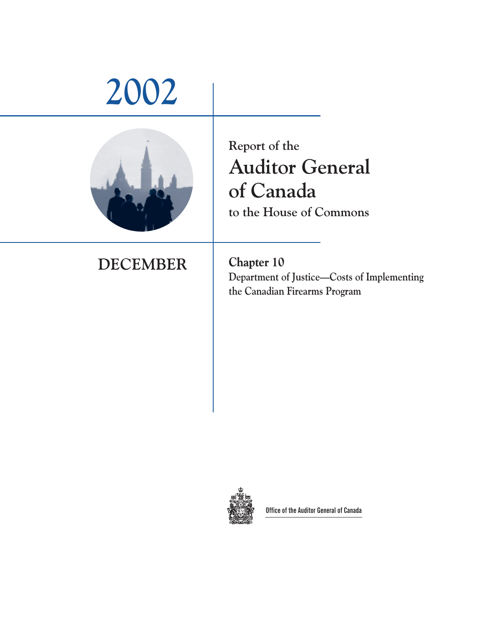# **2002 Report of the Auditor General of Canada to the House of Commons DECEMBER Chapter 10 Department of Justice—Costs of Implementing the Canadian Firearms Program**



**Office of the Auditor General of Canada**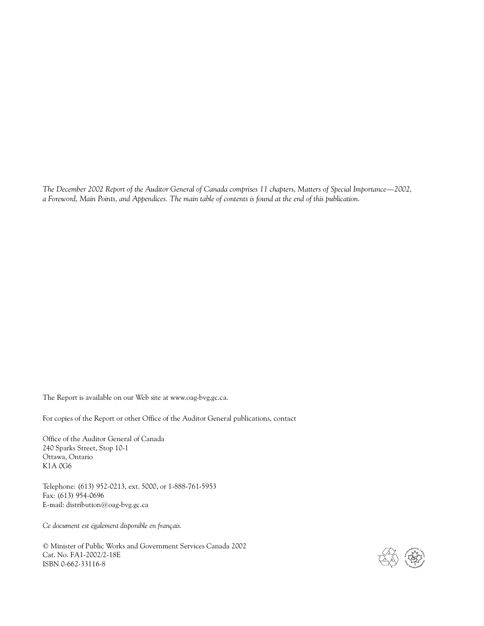*The December 2002 Report of the Auditor General of Canada comprises 11 chapters, Matters of Special Importance—2002, a Foreword, Main Points, and Appendices. The main table of contents is found at the end of this publication.*

The Report is available on our Web site at www.oag-bvg.gc.ca.

For copies of the Report or other Office of the Auditor General publications, contact

Office of the Auditor General of Canada 240 Sparks Street, Stop 10-1 Ottawa, Ontario K1A 0G6

Telephone: (613) 952-0213, ext. 5000, or 1-888-761-5953 Fax: (613) 954-0696 E-mail: distribution@oag-bvg.gc.ca

*Ce document est également disponible en français.*

© Minister of Public Works and Government Services Canada 2002 Cat. No. FA1-2002/2-18E ISBN 0-662-33116-8

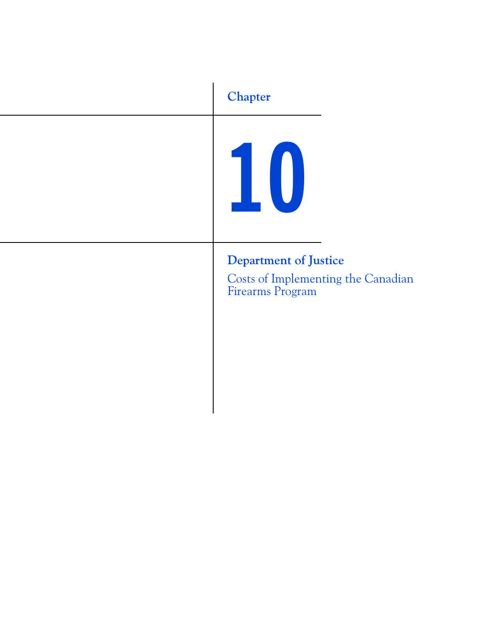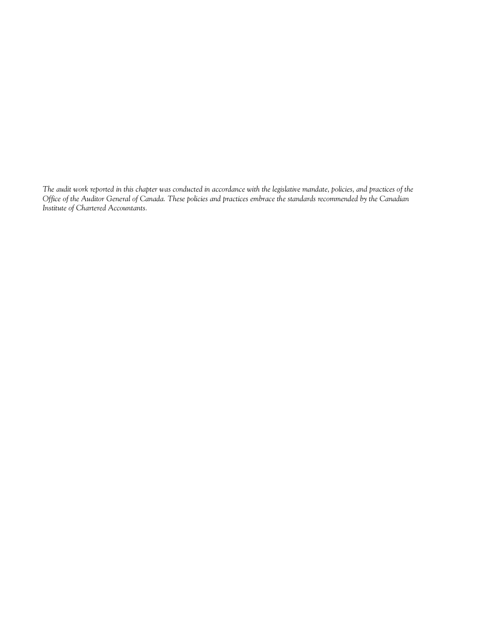*The audit work reported in this chapter was conducted in accordance with the legislative mandate, policies, and practices of the Office of the Auditor General of Canada. These policies and practices embrace the standards recommended by the Canadian Institute of Chartered Accountants.*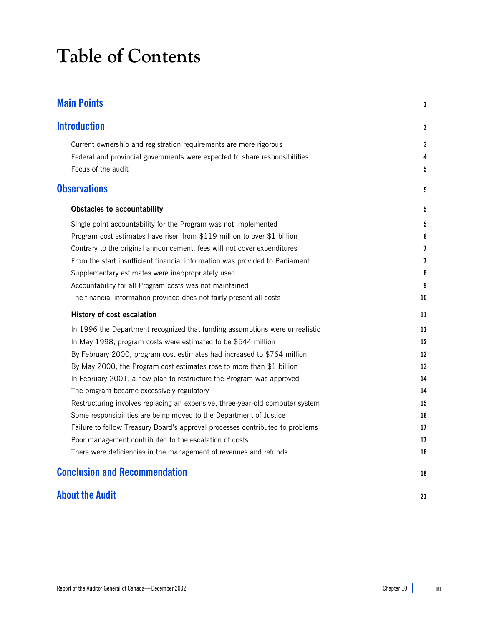# **Table of Contents**

| <b>Main Points</b>                                                            | 1                        |
|-------------------------------------------------------------------------------|--------------------------|
| <b>Introduction</b>                                                           | 3                        |
| Current ownership and registration requirements are more rigorous             | 3                        |
| Federal and provincial governments were expected to share responsibilities    | 4                        |
| Focus of the audit                                                            | 5                        |
| <b>Observations</b>                                                           | 5                        |
| <b>Obstacles to accountability</b>                                            | 5                        |
| Single point accountability for the Program was not implemented               | 5                        |
| Program cost estimates have risen from \$119 million to over \$1 billion      | 6                        |
| Contrary to the original announcement, fees will not cover expenditures       | 7                        |
| From the start insufficient financial information was provided to Parliament  | $\overline{\phantom{a}}$ |
| Supplementary estimates were inappropriately used                             | 8                        |
| Accountability for all Program costs was not maintained                       | 9                        |
| The financial information provided does not fairly present all costs          | 10                       |
| History of cost escalation                                                    | 11                       |
| In 1996 the Department recognized that funding assumptions were unrealistic   | 11                       |
| In May 1998, program costs were estimated to be \$544 million                 | 12                       |
| By February 2000, program cost estimates had increased to \$764 million       | 12                       |
| By May 2000, the Program cost estimates rose to more than \$1 billion         | 13                       |
| In February 2001, a new plan to restructure the Program was approved          | 14                       |
| The program became excessively regulatory                                     | 14                       |
| Restructuring involves replacing an expensive, three-year-old computer system | 15                       |
| Some responsibilities are being moved to the Department of Justice            | 16                       |
| Failure to follow Treasury Board's approval processes contributed to problems | 17                       |
| Poor management contributed to the escalation of costs                        | 17                       |
| There were deficiencies in the management of revenues and refunds             | 18                       |
| <b>Conclusion and Recommendation</b>                                          | 18                       |
| <b>About the Audit</b>                                                        | 21                       |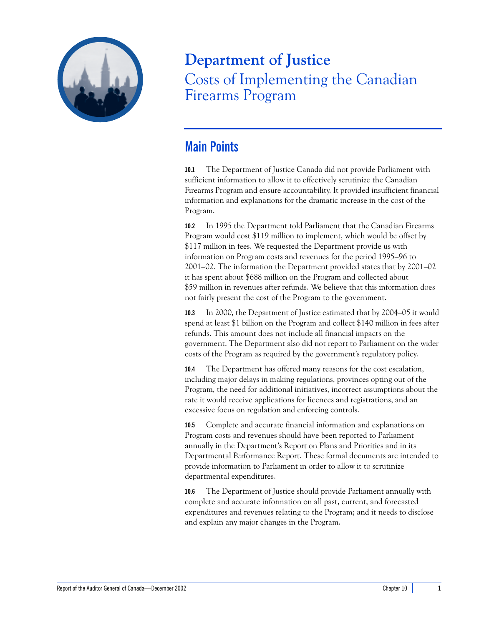

# **Department of Justice** Costs of Implementing the Canadian Firearms Program

# <span id="page-6-0"></span>**Main Points**

**10.1** The Department of Justice Canada did not provide Parliament with sufficient information to allow it to effectively scrutinize the Canadian Firearms Program and ensure accountability. It provided insufficient financial information and explanations for the dramatic increase in the cost of the Program.

**10.2** In 1995 the Department told Parliament that the Canadian Firearms Program would cost \$119 million to implement, which would be offset by \$117 million in fees. We requested the Department provide us with information on Program costs and revenues for the period 1995–96 to 2001–02. The information the Department provided states that by 2001–02 it has spent about \$688 million on the Program and collected about \$59 million in revenues after refunds. We believe that this information does not fairly present the cost of the Program to the government.

**10.3** In 2000, the Department of Justice estimated that by 2004–05 it would spend at least \$1 billion on the Program and collect \$140 million in fees after refunds. This amount does not include all financial impacts on the government. The Department also did not report to Parliament on the wider costs of the Program as required by the government's regulatory policy.

**10.4** The Department has offered many reasons for the cost escalation, including major delays in making regulations, provinces opting out of the Program, the need for additional initiatives, incorrect assumptions about the rate it would receive applications for licences and registrations, and an excessive focus on regulation and enforcing controls.

**10.5** Complete and accurate financial information and explanations on Program costs and revenues should have been reported to Parliament annually in the Department's Report on Plans and Priorities and in its Departmental Performance Report. These formal documents are intended to provide information to Parliament in order to allow it to scrutinize departmental expenditures.

**10.6** The Department of Justice should provide Parliament annually with complete and accurate information on all past, current, and forecasted expenditures and revenues relating to the Program; and it needs to disclose and explain any major changes in the Program.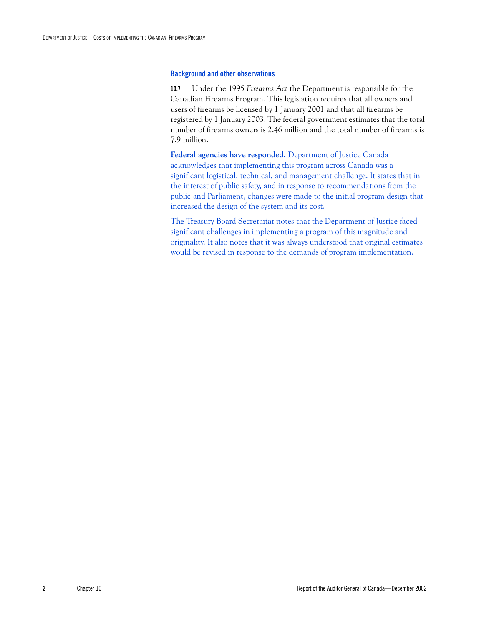#### **Background and other observations**

**10.7** Under the 1995 *Firearms Act* the Department is responsible for the Canadian Firearms Program*.* This legislation requires that all owners and users of firearms be licensed by 1 January 2001 and that all firearms be registered by 1 January 2003. The federal government estimates that the total number of firearms owners is 2.46 million and the total number of firearms is 7.9 million.

**Federal agencies have responded.** Department of Justice Canada acknowledges that implementing this program across Canada was a significant logistical, technical, and management challenge. It states that in the interest of public safety, and in response to recommendations from the public and Parliament, changes were made to the initial program design that increased the design of the system and its cost.

The Treasury Board Secretariat notes that the Department of Justice faced significant challenges in implementing a program of this magnitude and originality. It also notes that it was always understood that original estimates would be revised in response to the demands of program implementation.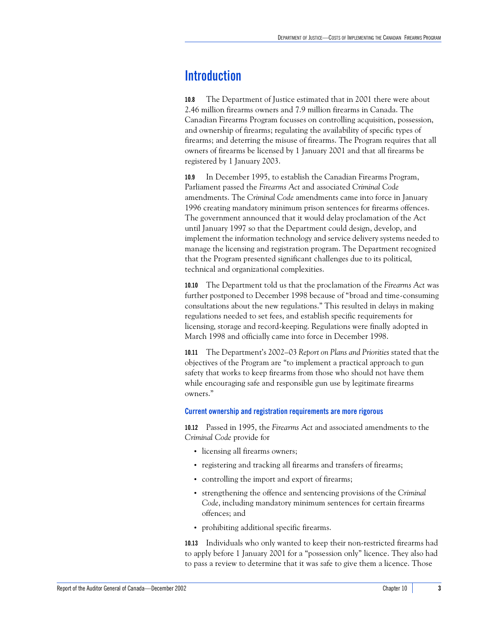# <span id="page-8-0"></span>**Introduction**

**10.8** The Department of Justice estimated that in 2001 there were about 2.46 million firearms owners and 7.9 million firearms in Canada. The Canadian Firearms Program focusses on controlling acquisition, possession, and ownership of firearms; regulating the availability of specific types of firearms; and deterring the misuse of firearms. The Program requires that all owners of firearms be licensed by 1 January 2001 and that all firearms be registered by 1 January 2003.

**10.9** In December 1995, to establish the Canadian Firearms Program, Parliament passed the *Firearms Act* and associated *Criminal Code* amendments. The *Criminal Code* amendments came into force in January 1996 creating mandatory minimum prison sentences for firearms offences. The government announced that it would delay proclamation of the Act until January 1997 so that the Department could design, develop, and implement the information technology and service delivery systems needed to manage the licensing and registration program. The Department recognized that the Program presented significant challenges due to its political, technical and organizational complexities.

**10.10** The Department told us that the proclamation of the *Firearms Act* was further postponed to December 1998 because of "broad and time-consuming consultations about the new regulations." This resulted in delays in making regulations needed to set fees, and establish specific requirements for licensing, storage and record-keeping. Regulations were finally adopted in March 1998 and officially came into force in December 1998.

**10.11** The Department's 2002–03 *Report on Plans and Priorities* stated that the objectives of the Program are "to implement a practical approach to gun safety that works to keep firearms from those who should not have them while encouraging safe and responsible gun use by legitimate firearms owners."

#### <span id="page-8-1"></span>**Current ownership and registration requirements are more rigorous**

**10.12** Passed in 1995, the *Firearms Act* and associated amendments to the *Criminal Code* provide for

- **•** licensing all firearms owners;
- **•** registering and tracking all firearms and transfers of firearms;
- **•** controlling the import and export of firearms;
- **•** strengthening the offence and sentencing provisions of the *Criminal Code*, including mandatory minimum sentences for certain firearms offences; and
- **•** prohibiting additional specific firearms.

**10.13** Individuals who only wanted to keep their non-restricted firearms had to apply before 1 January 2001 for a "possession only" licence. They also had to pass a review to determine that it was safe to give them a licence. Those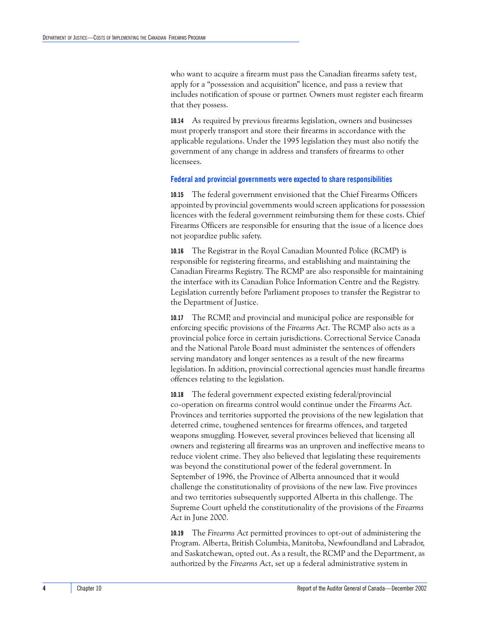who want to acquire a firearm must pass the Canadian firearms safety test, apply for a "possession and acquisition" licence, and pass a review that includes notification of spouse or partner. Owners must register each firearm that they possess.

**10.14** As required by previous firearms legislation, owners and businesses must properly transport and store their firearms in accordance with the applicable regulations. Under the 1995 legislation they must also notify the government of any change in address and transfers of firearms to other licensees.

#### <span id="page-9-0"></span>**Federal and provincial governments were expected to share responsibilities**

**10.15** The federal government envisioned that the Chief Firearms Officers appointed by provincial governments would screen applications for possession licences with the federal government reimbursing them for these costs. Chief Firearms Officers are responsible for ensuring that the issue of a licence does not jeopardize public safety.

**10.16** The Registrar in the Royal Canadian Mounted Police (RCMP) is responsible for registering firearms, and establishing and maintaining the Canadian Firearms Registry. The RCMP are also responsible for maintaining the interface with its Canadian Police Information Centre and the Registry. Legislation currently before Parliament proposes to transfer the Registrar to the Department of Justice.

**10.17** The RCMP, and provincial and municipal police are responsible for enforcing specific provisions of the *Firearms Act*. The RCMP also acts as a provincial police force in certain jurisdictions. Correctional Service Canada and the National Parole Board must administer the sentences of offenders serving mandatory and longer sentences as a result of the new firearms legislation. In addition, provincial correctional agencies must handle firearms offences relating to the legislation.

**10.18** The federal government expected existing federal/provincial co-operation on firearms control would continue under the *Firearms Act*. Provinces and territories supported the provisions of the new legislation that deterred crime, toughened sentences for firearms offences, and targeted weapons smuggling. However, several provinces believed that licensing all owners and registering all firearms was an unproven and ineffective means to reduce violent crime. They also believed that legislating these requirements was beyond the constitutional power of the federal government. In September of 1996, the Province of Alberta announced that it would challenge the constitutionality of provisions of the new law. Five provinces and two territories subsequently supported Alberta in this challenge. The Supreme Court upheld the constitutionality of the provisions of the *Firearms Act* in June 2000.

**10.19** The *Firearms Act* permitted provinces to opt-out of administering the Program. Alberta, British Columbia, Manitoba, Newfoundland and Labrador, and Saskatchewan, opted out. As a result, the RCMP and the Department, as authorized by the *Firearms Act*, set up a federal administrative system in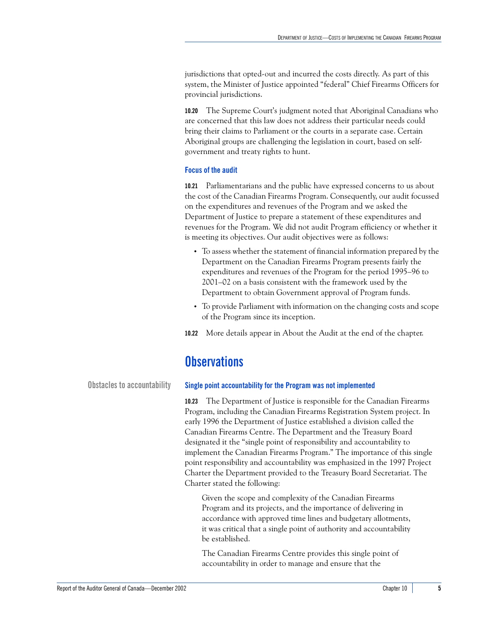jurisdictions that opted-out and incurred the costs directly. As part of this system, the Minister of Justice appointed "federal" Chief Firearms Officers for provincial jurisdictions.

**10.20** The Supreme Court's judgment noted that Aboriginal Canadians who are concerned that this law does not address their particular needs could bring their claims to Parliament or the courts in a separate case. Certain Aboriginal groups are challenging the legislation in court, based on selfgovernment and treaty rights to hunt.

#### <span id="page-10-0"></span>**Focus of the audit**

**10.21** Parliamentarians and the public have expressed concerns to us about the cost of the Canadian Firearms Program. Consequently, our audit focussed on the expenditures and revenues of the Program and we asked the Department of Justice to prepare a statement of these expenditures and revenues for the Program. We did not audit Program efficiency or whether it is meeting its objectives. Our audit objectives were as follows:

- **•** To assess whether the statement of financial information prepared by the Department on the Canadian Firearms Program presents fairly the expenditures and revenues of the Program for the period 1995–96 to 2001–02 on a basis consistent with the framework used by the Department to obtain Government approval of Program funds.
- **•** To provide Parliament with information on the changing costs and scope of the Program since its inception.
- **10.22** More details appear in About the Audit at the end of the chapter.

## <span id="page-10-1"></span>**Observations**

<span id="page-10-2"></span>

#### **Obstacles to accountability Single point accountability for the Program was not implemented**

<span id="page-10-3"></span>**10.23** The Department of Justice is responsible for the Canadian Firearms Program, including the Canadian Firearms Registration System project. In early 1996 the Department of Justice established a division called the Canadian Firearms Centre. The Department and the Treasury Board designated it the "single point of responsibility and accountability to implement the Canadian Firearms Program." The importance of this single point responsibility and accountability was emphasized in the 1997 Project Charter the Department provided to the Treasury Board Secretariat. The Charter stated the following:

Given the scope and complexity of the Canadian Firearms Program and its projects, and the importance of delivering in accordance with approved time lines and budgetary allotments, it was critical that a single point of authority and accountability be established.

The Canadian Firearms Centre provides this single point of accountability in order to manage and ensure that the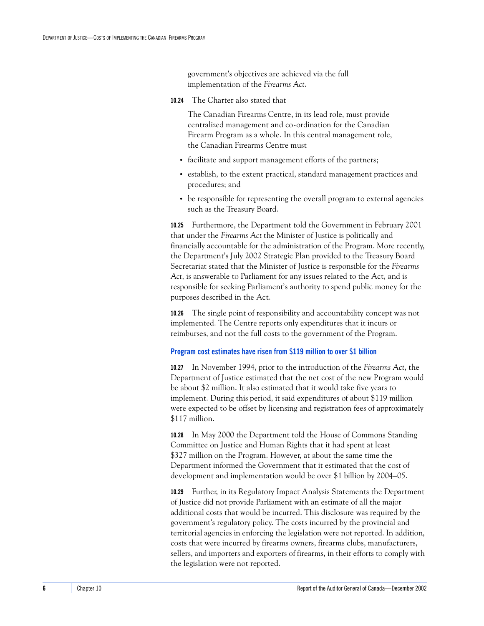government's objectives are achieved via the full implementation of the *Firearms Act*.

**10.24** The Charter also stated that

The Canadian Firearms Centre, in its lead role, must provide centralized management and co-ordination for the Canadian Firearm Program as a whole. In this central management role, the Canadian Firearms Centre must

- **•** facilitate and support management efforts of the partners;
- **•** establish, to the extent practical, standard management practices and procedures; and
- be responsible for representing the overall program to external agencies such as the Treasury Board.

**10.25** Furthermore, the Department told the Government in February 2001 that under the *Firearms Act* the Minister of Justice is politically and financially accountable for the administration of the Program. More recently, the Department's July 2002 Strategic Plan provided to the Treasury Board Secretariat stated that the Minister of Justice is responsible for the *Firearms Act*, is answerable to Parliament for any issues related to the Act, and is responsible for seeking Parliament's authority to spend public money for the purposes described in the Act.

**10.26** The single point of responsibility and accountability concept was not implemented. The Centre reports only expenditures that it incurs or reimburses, and not the full costs to the government of the Program.

#### <span id="page-11-0"></span>**Program cost estimates have risen from \$119 million to over \$1 billion**

**10.27** In November 1994, prior to the introduction of the *Firearms Act*, the Department of Justice estimated that the net cost of the new Program would be about \$2 million. It also estimated that it would take five years to implement. During this period, it said expenditures of about \$119 million were expected to be offset by licensing and registration fees of approximately \$117 million.

**10.28** In May 2000 the Department told the House of Commons Standing Committee on Justice and Human Rights that it had spent at least \$327 million on the Program. However, at about the same time the Department informed the Government that it estimated that the cost of development and implementation would be over \$1 billion by 2004–05.

**10.29** Further, in its Regulatory Impact Analysis Statements the Department of Justice did not provide Parliament with an estimate of all the major additional costs that would be incurred. This disclosure was required by the government's regulatory policy. The costs incurred by the provincial and territorial agencies in enforcing the legislation were not reported. In addition, costs that were incurred by firearms owners, firearms clubs, manufacturers, sellers, and importers and exporters of firearms, in their efforts to comply with the legislation were not reported.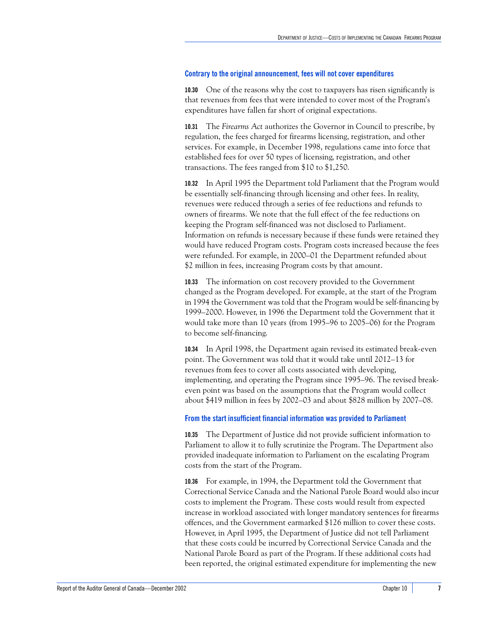#### <span id="page-12-0"></span>**Contrary to the original announcement, fees will not cover expenditures**

**10.30** One of the reasons why the cost to taxpayers has risen significantly is that revenues from fees that were intended to cover most of the Program's expenditures have fallen far short of original expectations.

**10.31** The *Firearms Act* authorizes the Governor in Council to prescribe, by regulation, the fees charged for firearms licensing, registration, and other services. For example, in December 1998, regulations came into force that established fees for over 50 types of licensing, registration, and other transactions. The fees ranged from \$10 to \$1,250.

**10.32** In April 1995 the Department told Parliament that the Program would be essentially self-financing through licensing and other fees. In reality, revenues were reduced through a series of fee reductions and refunds to owners of firearms. We note that the full effect of the fee reductions on keeping the Program self-financed was not disclosed to Parliament. Information on refunds is necessary because if these funds were retained they would have reduced Program costs. Program costs increased because the fees were refunded. For example, in 2000–01 the Department refunded about \$2 million in fees, increasing Program costs by that amount.

**10.33** The information on cost recovery provided to the Government changed as the Program developed. For example, at the start of the Program in 1994 the Government was told that the Program would be self-financing by 1999–2000. However, in 1996 the Department told the Government that it would take more than 10 years (from 1995–96 to 2005–06) for the Program to become self-financing.

**10.34** In April 1998, the Department again revised its estimated break-even point. The Government was told that it would take until 2012–13 for revenues from fees to cover all costs associated with developing, implementing, and operating the Program since 1995–96. The revised breakeven point was based on the assumptions that the Program would collect about \$419 million in fees by 2002–03 and about \$828 million by 2007–08.

#### <span id="page-12-1"></span>**From the start insufficient financial information was provided to Parliament**

**10.35** The Department of Justice did not provide sufficient information to Parliament to allow it to fully scrutinize the Program. The Department also provided inadequate information to Parliament on the escalating Program costs from the start of the Program.

**10.36** For example, in 1994, the Department told the Government that Correctional Service Canada and the National Parole Board would also incur costs to implement the Program. These costs would result from expected increase in workload associated with longer mandatory sentences for firearms offences, and the Government earmarked \$126 million to cover these costs. However, in April 1995, the Department of Justice did not tell Parliament that these costs could be incurred by Correctional Service Canada and the National Parole Board as part of the Program. If these additional costs had been reported, the original estimated expenditure for implementing the new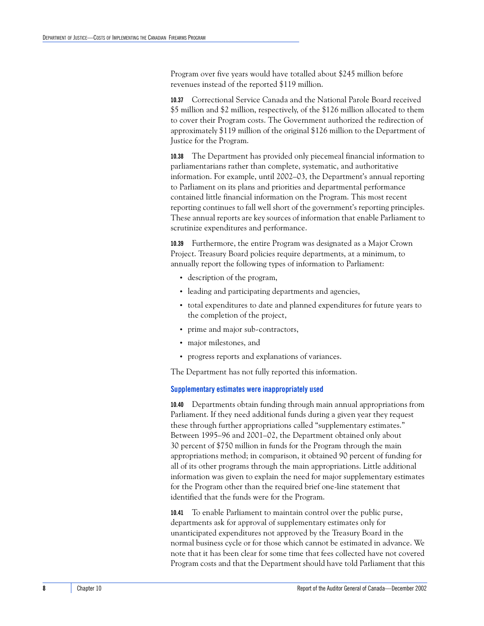Program over five years would have totalled about \$245 million before revenues instead of the reported \$119 million.

**10.37** Correctional Service Canada and the National Parole Board received \$5 million and \$2 million, respectively, of the \$126 million allocated to them to cover their Program costs. The Government authorized the redirection of approximately \$119 million of the original \$126 million to the Department of Justice for the Program.

**10.38** The Department has provided only piecemeal financial information to parliamentarians rather than complete, systematic, and authoritative information. For example, until 2002–03, the Department's annual reporting to Parliament on its plans and priorities and departmental performance contained little financial information on the Program. This most recent reporting continues to fall well short of the government's reporting principles. These annual reports are key sources of information that enable Parliament to scrutinize expenditures and performance.

**10.39** Furthermore, the entire Program was designated as a Major Crown Project. Treasury Board policies require departments, at a minimum, to annually report the following types of information to Parliament:

- **•** description of the program,
- **•** leading and participating departments and agencies,
- **•** total expenditures to date and planned expenditures for future years to the completion of the project,
- **•** prime and major sub-contractors,
- **•** major milestones, and
- **•** progress reports and explanations of variances.

The Department has not fully reported this information.

#### <span id="page-13-0"></span>**Supplementary estimates were inappropriately used**

**10.40** Departments obtain funding through main annual appropriations from Parliament. If they need additional funds during a given year they request these through further appropriations called "supplementary estimates." Between 1995–96 and 2001–02, the Department obtained only about 30 percent of \$750 million in funds for the Program through the main appropriations method; in comparison, it obtained 90 percent of funding for all of its other programs through the main appropriations. Little additional information was given to explain the need for major supplementary estimates for the Program other than the required brief one-line statement that identified that the funds were for the Program.

**10.41** To enable Parliament to maintain control over the public purse, departments ask for approval of supplementary estimates only for unanticipated expenditures not approved by the Treasury Board in the normal business cycle or for those which cannot be estimated in advance. We note that it has been clear for some time that fees collected have not covered Program costs and that the Department should have told Parliament that this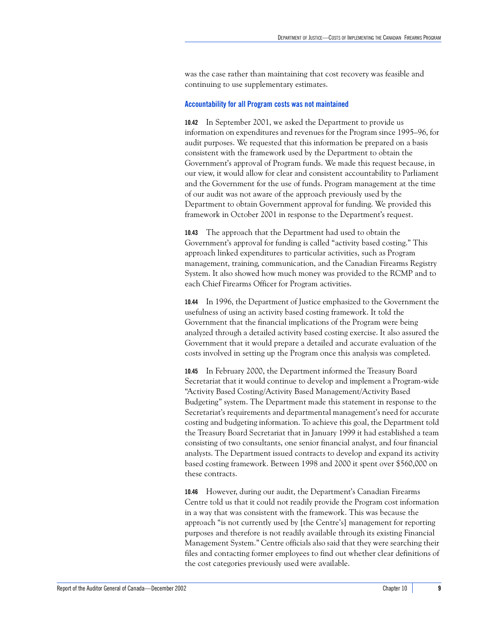was the case rather than maintaining that cost recovery was feasible and continuing to use supplementary estimates.

#### <span id="page-14-0"></span>**Accountability for all Program costs was not maintained**

**10.42** In September 2001, we asked the Department to provide us information on expenditures and revenues for the Program since 1995–96, for audit purposes. We requested that this information be prepared on a basis consistent with the framework used by the Department to obtain the Government's approval of Program funds. We made this request because, in our view, it would allow for clear and consistent accountability to Parliament and the Government for the use of funds. Program management at the time of our audit was not aware of the approach previously used by the Department to obtain Government approval for funding. We provided this framework in October 2001 in response to the Department's request.

**10.43** The approach that the Department had used to obtain the Government's approval for funding is called "activity based costing." This approach linked expenditures to particular activities, such as Program management, training, communication, and the Canadian Firearms Registry System. It also showed how much money was provided to the RCMP and to each Chief Firearms Officer for Program activities.

**10.44** In 1996, the Department of Justice emphasized to the Government the usefulness of using an activity based costing framework. It told the Government that the financial implications of the Program were being analyzed through a detailed activity based costing exercise. It also assured the Government that it would prepare a detailed and accurate evaluation of the costs involved in setting up the Program once this analysis was completed.

**10.45** In February 2000, the Department informed the Treasury Board Secretariat that it would continue to develop and implement a Program-wide "Activity Based Costing/Activity Based Management/Activity Based Budgeting" system. The Department made this statement in response to the Secretariat's requirements and departmental management's need for accurate costing and budgeting information. To achieve this goal, the Department told the Treasury Board Secretariat that in January 1999 it had established a team consisting of two consultants, one senior financial analyst, and four financial analysts. The Department issued contracts to develop and expand its activity based costing framework. Between 1998 and 2000 it spent over \$560,000 on these contracts.

**10.46** However, during our audit, the Department's Canadian Firearms Centre told us that it could not readily provide the Program cost information in a way that was consistent with the framework. This was because the approach "is not currently used by [the Centre's] management for reporting purposes and therefore is not readily available through its existing Financial Management System." Centre officials also said that they were searching their files and contacting former employees to find out whether clear definitions of the cost categories previously used were available.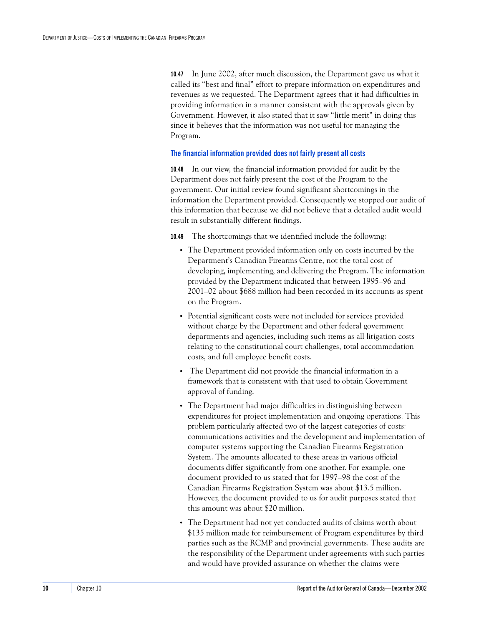**10.47** In June 2002, after much discussion, the Department gave us what it called its "best and final" effort to prepare information on expenditures and revenues as we requested. The Department agrees that it had difficulties in providing information in a manner consistent with the approvals given by Government. However, it also stated that it saw "little merit" in doing this since it believes that the information was not useful for managing the Program.

#### <span id="page-15-0"></span>**The financial information provided does not fairly present all costs**

**10.48** In our view, the financial information provided for audit by the Department does not fairly present the cost of the Program to the government. Our initial review found significant shortcomings in the information the Department provided. Consequently we stopped our audit of this information that because we did not believe that a detailed audit would result in substantially different findings.

**10.49** The shortcomings that we identified include the following:

- **•** The Department provided information only on costs incurred by the Department's Canadian Firearms Centre, not the total cost of developing, implementing, and delivering the Program. The information provided by the Department indicated that between 1995–96 and 2001–02 about \$688 million had been recorded in its accounts as spent on the Program.
- **•** Potential significant costs were not included for services provided without charge by the Department and other federal government departments and agencies, including such items as all litigation costs relating to the constitutional court challenges, total accommodation costs, and full employee benefit costs.
- **•** The Department did not provide the financial information in a framework that is consistent with that used to obtain Government approval of funding.
- **•** The Department had major difficulties in distinguishing between expenditures for project implementation and ongoing operations. This problem particularly affected two of the largest categories of costs: communications activities and the development and implementation of computer systems supporting the Canadian Firearms Registration System. The amounts allocated to these areas in various official documents differ significantly from one another. For example, one document provided to us stated that for 1997–98 the cost of the Canadian Firearms Registration System was about \$13.5 million. However, the document provided to us for audit purposes stated that this amount was about \$20 million.
- **•** The Department had not yet conducted audits of claims worth about \$135 million made for reimbursement of Program expenditures by third parties such as the RCMP and provincial governments. These audits are the responsibility of the Department under agreements with such parties and would have provided assurance on whether the claims were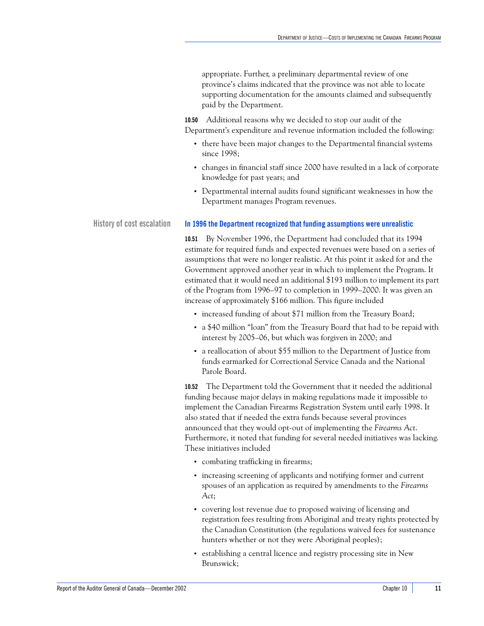appropriate. Further, a preliminary departmental review of one province's claims indicated that the province was not able to locate supporting documentation for the amounts claimed and subsequently paid by the Department.

**10.50** Additional reasons why we decided to stop our audit of the Department's expenditure and revenue information included the following:

- **•** there have been major changes to the Departmental financial systems since 1998;
- **•** changes in financial staff since 2000 have resulted in a lack of corporate knowledge for past years; and
- **•** Departmental internal audits found significant weaknesses in how the Department manages Program revenues.

#### **History of cost escalation In 1996 the Department recognized that funding assumptions were unrealistic**

<span id="page-16-1"></span>**10.51** By November 1996, the Department had concluded that its 1994 estimate for required funds and expected revenues were based on a series of assumptions that were no longer realistic. At this point it asked for and the Government approved another year in which to implement the Program. It estimated that it would need an additional \$193 million to implement its part of the Program from 1996–97 to completion in 1999–2000. It was given an increase of approximately \$166 million. This figure included

- increased funding of about \$71 million from the Treasury Board;
- **•** a \$40 million "loan" from the Treasury Board that had to be repaid with interest by 2005–06, but which was forgiven in 2000; and
- **•** a reallocation of about \$55 million to the Department of Justice from funds earmarked for Correctional Service Canada and the National Parole Board.

**10.52** The Department told the Government that it needed the additional funding because major delays in making regulations made it impossible to implement the Canadian Firearms Registration System until early 1998. It also stated that if needed the extra funds because several provinces announced that they would opt-out of implementing the *Firearms Act*. Furthermore, it noted that funding for several needed initiatives was lacking. These initiatives included

- **•** combating trafficking in firearms;
- **•** increasing screening of applicants and notifying former and current spouses of an application as required by amendments to the *Firearms Act*;
- **•** covering lost revenue due to proposed waiving of licensing and registration fees resulting from Aboriginal and treaty rights protected by the Canadian Constitution (the regulations waived fees for sustenance hunters whether or not they were Aboriginal peoples);
- **•** establishing a central licence and registry processing site in New Brunswick;

<span id="page-16-0"></span>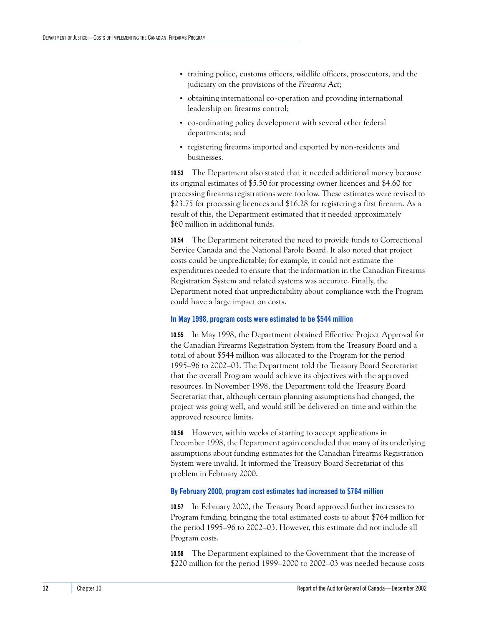- **•** training police, customs officers, wildlife officers, prosecutors, and the judiciary on the provisions of the *Firearms Act*;
- **•** obtaining international co-operation and providing international leadership on firearms control;
- **•** co-ordinating policy development with several other federal departments; and
- **•** registering firearms imported and exported by non-residents and businesses.

**10.53** The Department also stated that it needed additional money because its original estimates of \$5.50 for processing owner licences and \$4.60 for processing firearms registrations were too low. These estimates were revised to \$23.75 for processing licences and \$16.28 for registering a first firearm. As a result of this, the Department estimated that it needed approximately \$60 million in additional funds.

**10.54** The Department reiterated the need to provide funds to Correctional Service Canada and the National Parole Board. It also noted that project costs could be unpredictable; for example, it could not estimate the expenditures needed to ensure that the information in the Canadian Firearms Registration System and related systems was accurate. Finally, the Department noted that unpredictability about compliance with the Program could have a large impact on costs.

#### <span id="page-17-0"></span>**In May 1998, program costs were estimated to be \$544 million**

**10.55** In May 1998, the Department obtained Effective Project Approval for the Canadian Firearms Registration System from the Treasury Board and a total of about \$544 million was allocated to the Program for the period 1995–96 to 2002–03. The Department told the Treasury Board Secretariat that the overall Program would achieve its objectives with the approved resources. In November 1998, the Department told the Treasury Board Secretariat that, although certain planning assumptions had changed, the project was going well, and would still be delivered on time and within the approved resource limits.

**10.56** However, within weeks of starting to accept applications in December 1998, the Department again concluded that many of its underlying assumptions about funding estimates for the Canadian Firearms Registration System were invalid. It informed the Treasury Board Secretariat of this problem in February 2000.

#### <span id="page-17-1"></span>**By February 2000, program cost estimates had increased to \$764 million**

**10.57** In February 2000, the Treasury Board approved further increases to Program funding, bringing the total estimated costs to about \$764 million for the period 1995–96 to 2002–03. However, this estimate did not include all Program costs.

**10.58** The Department explained to the Government that the increase of \$220 million for the period 1999–2000 to 2002–03 was needed because costs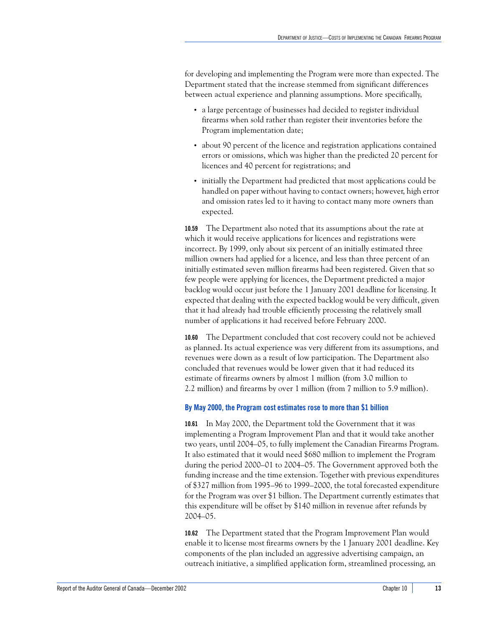for developing and implementing the Program were more than expected. The Department stated that the increase stemmed from significant differences between actual experience and planning assumptions. More specifically,

- **•** a large percentage of businesses had decided to register individual firearms when sold rather than register their inventories before the Program implementation date;
- **•** about 90 percent of the licence and registration applications contained errors or omissions, which was higher than the predicted 20 percent for licences and 40 percent for registrations; and
- **•** initially the Department had predicted that most applications could be handled on paper without having to contact owners; however, high error and omission rates led to it having to contact many more owners than expected.

**10.59** The Department also noted that its assumptions about the rate at which it would receive applications for licences and registrations were incorrect. By 1999, only about six percent of an initially estimated three million owners had applied for a licence, and less than three percent of an initially estimated seven million firearms had been registered. Given that so few people were applying for licences, the Department predicted a major backlog would occur just before the 1 January 2001 deadline for licensing. It expected that dealing with the expected backlog would be very difficult, given that it had already had trouble efficiently processing the relatively small number of applications it had received before February 2000.

**10.60** The Department concluded that cost recovery could not be achieved as planned. Its actual experience was very different from its assumptions, and revenues were down as a result of low participation. The Department also concluded that revenues would be lower given that it had reduced its estimate of firearms owners by almost 1 million (from 3.0 million to 2.2 million) and firearms by over 1 million (from 7 million to 5.9 million).

#### <span id="page-18-0"></span>**By May 2000, the Program cost estimates rose to more than \$1 billion**

**10.61** In May 2000, the Department told the Government that it was implementing a Program Improvement Plan and that it would take another two years, until 2004–05, to fully implement the Canadian Firearms Program. It also estimated that it would need \$680 million to implement the Program during the period 2000–01 to 2004–05. The Government approved both the funding increase and the time extension. Together with previous expenditures of \$327 million from 1995–96 to 1999–2000, the total forecasted expenditure for the Program was over \$1 billion. The Department currently estimates that this expenditure will be offset by \$140 million in revenue after refunds by 2004–05.

**10.62** The Department stated that the Program Improvement Plan would enable it to license most firearms owners by the 1 January 2001 deadline. Key components of the plan included an aggressive advertising campaign, an outreach initiative, a simplified application form, streamlined processing, an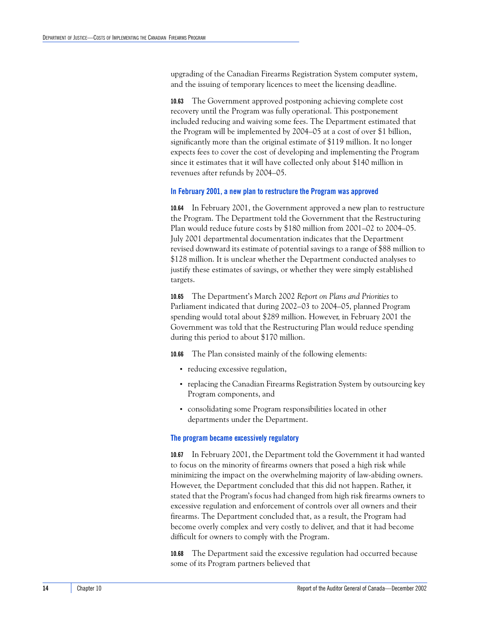upgrading of the Canadian Firearms Registration System computer system, and the issuing of temporary licences to meet the licensing deadline.

**10.63** The Government approved postponing achieving complete cost recovery until the Program was fully operational. This postponement included reducing and waiving some fees. The Department estimated that the Program will be implemented by 2004–05 at a cost of over \$1 billion, significantly more than the original estimate of \$119 million. It no longer expects fees to cover the cost of developing and implementing the Program since it estimates that it will have collected only about \$140 million in revenues after refunds by 2004–05.

#### <span id="page-19-0"></span>**In February 2001, a new plan to restructure the Program was approved**

**10.64** In February 2001, the Government approved a new plan to restructure the Program. The Department told the Government that the Restructuring Plan would reduce future costs by \$180 million from 2001–02 to 2004–05. July 2001 departmental documentation indicates that the Department revised downward its estimate of potential savings to a range of \$88 million to \$128 million. It is unclear whether the Department conducted analyses to justify these estimates of savings, or whether they were simply established targets.

**10.65** The Department's March 2002 *Report on Plans and Priorities* to Parliament indicated that during 2002–03 to 2004–05, planned Program spending would total about \$289 million. However, in February 2001 the Government was told that the Restructuring Plan would reduce spending during this period to about \$170 million.

**10.66** The Plan consisted mainly of the following elements:

- **•** reducing excessive regulation,
- **•** replacing the Canadian Firearms Registration System by outsourcing key Program components, and
- **•** consolidating some Program responsibilities located in other departments under the Department.

#### <span id="page-19-1"></span>**The program became excessively regulatory**

**10.67** In February 2001, the Department told the Government it had wanted to focus on the minority of firearms owners that posed a high risk while minimizing the impact on the overwhelming majority of law-abiding owners. However, the Department concluded that this did not happen. Rather, it stated that the Program's focus had changed from high risk firearms owners to excessive regulation and enforcement of controls over all owners and their firearms. The Department concluded that, as a result, the Program had become overly complex and very costly to deliver, and that it had become difficult for owners to comply with the Program.

**10.68** The Department said the excessive regulation had occurred because some of its Program partners believed that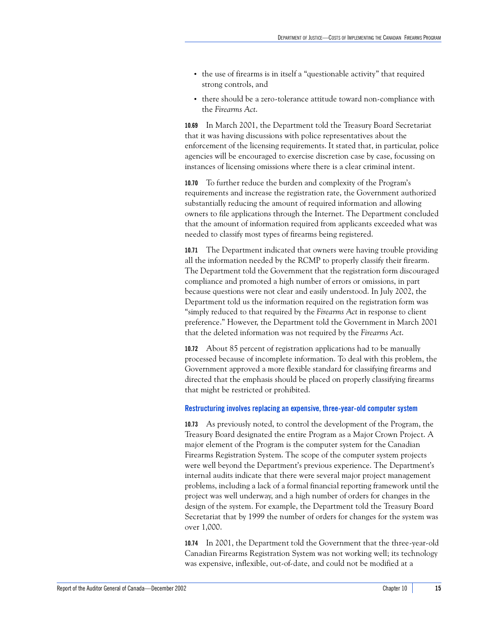- **•** the use of firearms is in itself a "questionable activity" that required strong controls, and
- **•** there should be a zero-tolerance attitude toward non-compliance with the *Firearms Act*.

**10.69** In March 2001, the Department told the Treasury Board Secretariat that it was having discussions with police representatives about the enforcement of the licensing requirements. It stated that, in particular, police agencies will be encouraged to exercise discretion case by case, focussing on instances of licensing omissions where there is a clear criminal intent.

**10.70** To further reduce the burden and complexity of the Program's requirements and increase the registration rate, the Government authorized substantially reducing the amount of required information and allowing owners to file applications through the Internet. The Department concluded that the amount of information required from applicants exceeded what was needed to classify most types of firearms being registered.

**10.71** The Department indicated that owners were having trouble providing all the information needed by the RCMP to properly classify their firearm. The Department told the Government that the registration form discouraged compliance and promoted a high number of errors or omissions, in part because questions were not clear and easily understood. In July 2002, the Department told us the information required on the registration form was "simply reduced to that required by the *Firearms Act* in response to client preference." However, the Department told the Government in March 2001 that the deleted information was not required by the *Firearms Act*.

**10.72** About 85 percent of registration applications had to be manually processed because of incomplete information. To deal with this problem, the Government approved a more flexible standard for classifying firearms and directed that the emphasis should be placed on properly classifying firearms that might be restricted or prohibited.

#### <span id="page-20-0"></span>**Restructuring involves replacing an expensive, three-year-old computer system**

**10.73** As previously noted, to control the development of the Program, the Treasury Board designated the entire Program as a Major Crown Project. A major element of the Program is the computer system for the Canadian Firearms Registration System. The scope of the computer system projects were well beyond the Department's previous experience. The Department's internal audits indicate that there were several major project management problems, including a lack of a formal financial reporting framework until the project was well underway, and a high number of orders for changes in the design of the system. For example, the Department told the Treasury Board Secretariat that by 1999 the number of orders for changes for the system was over 1,000.

**10.74** In 2001, the Department told the Government that the three-year-old Canadian Firearms Registration System was not working well; its technology was expensive, inflexible, out-of-date, and could not be modified at a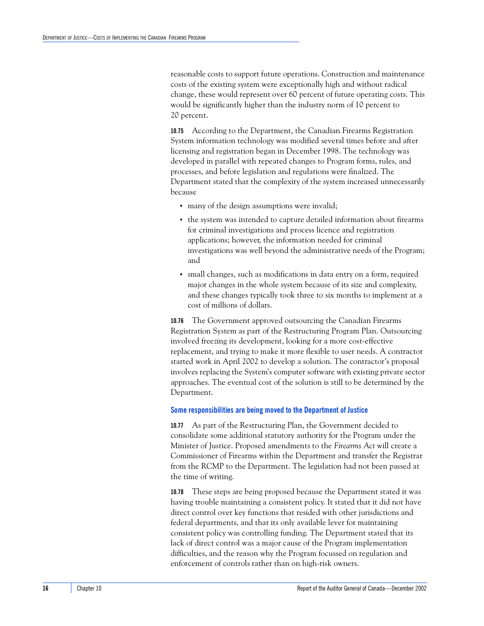reasonable costs to support future operations. Construction and maintenance costs of the existing system were exceptionally high and without radical change, these would represent over 60 percent of future operating costs. This would be significantly higher than the industry norm of 10 percent to 20 percent.

**10.75** According to the Department, the Canadian Firearms Registration System information technology was modified several times before and after licensing and registration began in December 1998. The technology was developed in parallel with repeated changes to Program forms, rules, and processes, and before legislation and regulations were finalized. The Department stated that the complexity of the system increased unnecessarily because

- **•** many of the design assumptions were invalid;
- **•** the system was intended to capture detailed information about firearms for criminal investigations and process licence and registration applications; however, the information needed for criminal investigations was well beyond the administrative needs of the Program; and
- **•** small changes, such as modifications in data entry on a form, required major changes in the whole system because of its size and complexity, and these changes typically took three to six months to implement at a cost of millions of dollars.

**10.76** The Government approved outsourcing the Canadian Firearms Registration System as part of the Restructuring Program Plan. Outsourcing involved freezing its development, looking for a more cost-effective replacement, and trying to make it more flexible to user needs. A contractor started work in April 2002 to develop a solution. The contractor's proposal involves replacing the System's computer software with existing private sector approaches. The eventual cost of the solution is still to be determined by the Department.

#### <span id="page-21-0"></span>**Some responsibilities are being moved to the Department of Justice**

**10.77** As part of the Restructuring Plan, the Government decided to consolidate some additional statutory authority for the Program under the Minister of Justice. Proposed amendments to the *Firearms Act* will create a Commissioner of Firearms within the Department and transfer the Registrar from the RCMP to the Department. The legislation had not been passed at the time of writing.

**10.78** These steps are being proposed because the Department stated it was having trouble maintaining a consistent policy. It stated that it did not have direct control over key functions that resided with other jurisdictions and federal departments, and that its only available lever for maintaining consistent policy was controlling funding. The Department stated that its lack of direct control was a major cause of the Program implementation difficulties, and the reason why the Program focussed on regulation and enforcement of controls rather than on high-risk owners.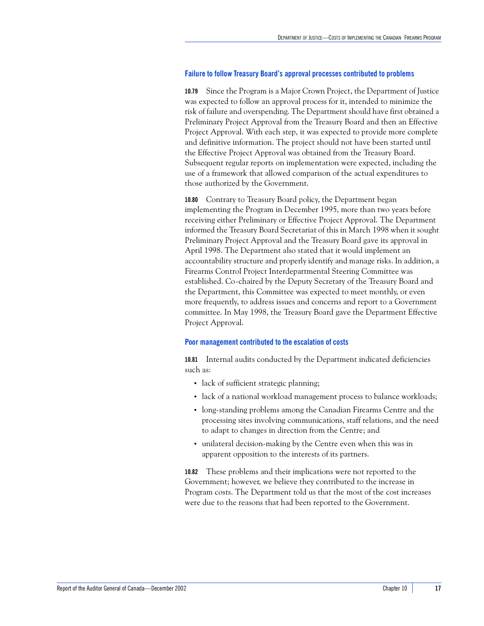#### <span id="page-22-0"></span>**Failure to follow Treasury Board's approval processes contributed to problems**

**10.79** Since the Program is a Major Crown Project, the Department of Justice was expected to follow an approval process for it, intended to minimize the risk of failure and overspending. The Department should have first obtained a Preliminary Project Approval from the Treasury Board and then an Effective Project Approval. With each step, it was expected to provide more complete and definitive information. The project should not have been started until the Effective Project Approval was obtained from the Treasury Board. Subsequent regular reports on implementation were expected, including the use of a framework that allowed comparison of the actual expenditures to those authorized by the Government.

**10.80** Contrary to Treasury Board policy, the Department began implementing the Program in December 1995, more than two years before receiving either Preliminary or Effective Project Approval. The Department informed the Treasury Board Secretariat of this in March 1998 when it sought Preliminary Project Approval and the Treasury Board gave its approval in April 1998. The Department also stated that it would implement an accountability structure and properly identify and manage risks. In addition, a Firearms Control Project Interdepartmental Steering Committee was established. Co-chaired by the Deputy Secretary of the Treasury Board and the Department, this Committee was expected to meet monthly, or even more frequently, to address issues and concerns and report to a Government committee. In May 1998, the Treasury Board gave the Department Effective Project Approval.

#### <span id="page-22-1"></span>**Poor management contributed to the escalation of costs**

**10.81** Internal audits conducted by the Department indicated deficiencies such as:

- lack of sufficient strategic planning;
- **•** lack of a national workload management process to balance workloads;
- **•** long-standing problems among the Canadian Firearms Centre and the processing sites involving communications, staff relations, and the need to adapt to changes in direction from the Centre; and
- **•** unilateral decision-making by the Centre even when this was in apparent opposition to the interests of its partners.

**10.82** These problems and their implications were not reported to the Government; however, we believe they contributed to the increase in Program costs. The Department told us that the most of the cost increases were due to the reasons that had been reported to the Government.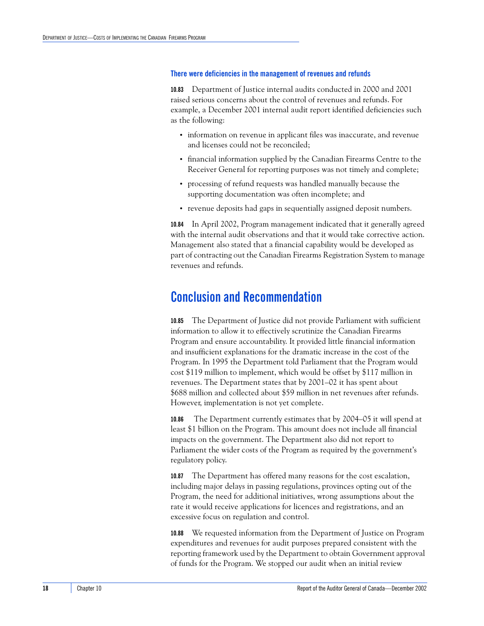#### <span id="page-23-0"></span>**There were deficiencies in the management of revenues and refunds**

**10.83** Department of Justice internal audits conducted in 2000 and 2001 raised serious concerns about the control of revenues and refunds. For example, a December 2001 internal audit report identified deficiencies such as the following:

- **•** information on revenue in applicant files was inaccurate, and revenue and licenses could not be reconciled;
- **•** financial information supplied by the Canadian Firearms Centre to the Receiver General for reporting purposes was not timely and complete;
- **•** processing of refund requests was handled manually because the supporting documentation was often incomplete; and
- **•** revenue deposits had gaps in sequentially assigned deposit numbers.

**10.84** In April 2002, Program management indicated that it generally agreed with the internal audit observations and that it would take corrective action. Management also stated that a financial capability would be developed as part of contracting out the Canadian Firearms Registration System to manage revenues and refunds.

### <span id="page-23-1"></span>**Conclusion and Recommendation**

**10.85** The Department of Justice did not provide Parliament with sufficient information to allow it to effectively scrutinize the Canadian Firearms Program and ensure accountability. It provided little financial information and insufficient explanations for the dramatic increase in the cost of the Program. In 1995 the Department told Parliament that the Program would cost \$119 million to implement, which would be offset by \$117 million in revenues. The Department states that by 2001–02 it has spent about \$688 million and collected about \$59 million in net revenues after refunds. However, implementation is not yet complete.

**10.86** The Department currently estimates that by 2004–05 it will spend at least \$1 billion on the Program. This amount does not include all financial impacts on the government. The Department also did not report to Parliament the wider costs of the Program as required by the government's regulatory policy.

**10.87** The Department has offered many reasons for the cost escalation, including major delays in passing regulations, provinces opting out of the Program, the need for additional initiatives, wrong assumptions about the rate it would receive applications for licences and registrations, and an excessive focus on regulation and control.

**10.88** We requested information from the Department of Justice on Program expenditures and revenues for audit purposes prepared consistent with the reporting framework used by the Department to obtain Government approval of funds for the Program. We stopped our audit when an initial review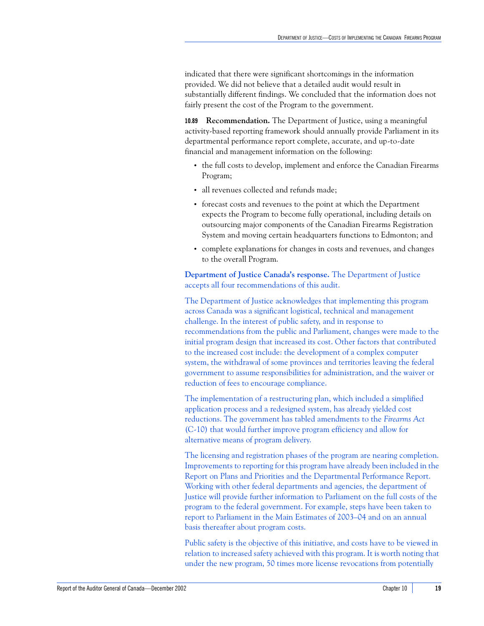indicated that there were significant shortcomings in the information provided. We did not believe that a detailed audit would result in substantially different findings. We concluded that the information does not fairly present the cost of the Program to the government.

**10.89 Recommendation.** The Department of Justice, using a meaningful activity-based reporting framework should annually provide Parliament in its departmental performance report complete, accurate, and up-to-date financial and management information on the following:

- **•** the full costs to develop, implement and enforce the Canadian Firearms Program;
- **•** all revenues collected and refunds made;
- **•** forecast costs and revenues to the point at which the Department expects the Program to become fully operational, including details on outsourcing major components of the Canadian Firearms Registration System and moving certain headquarters functions to Edmonton; and
- **•** complete explanations for changes in costs and revenues, and changes to the overall Program.

**Department of Justice Canada's response.** The Department of Justice accepts all four recommendations of this audit.

The Department of Justice acknowledges that implementing this program across Canada was a significant logistical, technical and management challenge. In the interest of public safety, and in response to recommendations from the public and Parliament, changes were made to the initial program design that increased its cost. Other factors that contributed to the increased cost include: the development of a complex computer system, the withdrawal of some provinces and territories leaving the federal government to assume responsibilities for administration, and the waiver or reduction of fees to encourage compliance.

The implementation of a restructuring plan, which included a simplified application process and a redesigned system, has already yielded cost reductions. The government has tabled amendments to the *Firearms Act* (C-10) that would further improve program efficiency and allow for alternative means of program delivery.

The licensing and registration phases of the program are nearing completion. Improvements to reporting for this program have already been included in the Report on Plans and Priorities and the Departmental Performance Report. Working with other federal departments and agencies, the department of Justice will provide further information to Parliament on the full costs of the program to the federal government. For example, steps have been taken to report to Parliament in the Main Estimates of 2003–04 and on an annual basis thereafter about program costs.

Public safety is the objective of this initiative, and costs have to be viewed in relation to increased safety achieved with this program. It is worth noting that under the new program, 50 times more license revocations from potentially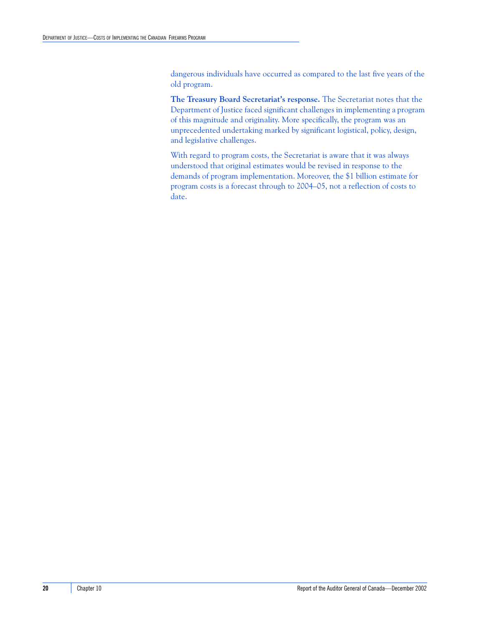dangerous individuals have occurred as compared to the last five years of the old program.

**The Treasury Board Secretariat's response.** The Secretariat notes that the Department of Justice faced significant challenges in implementing a program of this magnitude and originality. More specifically, the program was an unprecedented undertaking marked by significant logistical, policy, design, and legislative challenges.

With regard to program costs, the Secretariat is aware that it was always understood that original estimates would be revised in response to the demands of program implementation. Moreover, the \$1 billion estimate for program costs is a forecast through to 2004–05, not a reflection of costs to date.